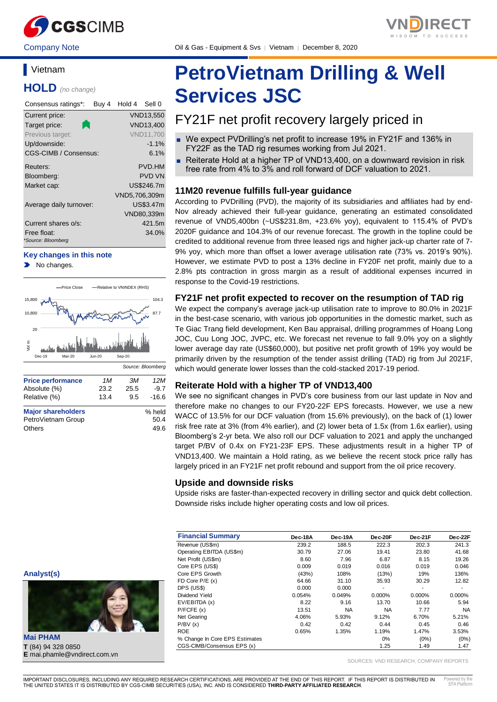

Company Note Oil & Gas - Equipment & Svs │ Vietnam │ December 8, 2020

# **Vietnam**

**HOLD** *(no change)*

| Consensus ratings*:               | Buy 4 | Hold 4        | Sell 0           |
|-----------------------------------|-------|---------------|------------------|
| Current price:                    |       |               | VND13,550        |
| Target price:                     |       |               | <b>VND13,400</b> |
| Previous target:                  |       |               | <b>VND11.700</b> |
| Up/downside:                      |       |               | $-1.1%$          |
| CGS-CIMB / Consensus:             |       |               | 6.1%             |
| Reuters:                          |       |               | PVD.HM           |
| Bloomberg:                        |       |               | <b>PVD VN</b>    |
| Market cap:                       |       |               | US\$246.7m       |
|                                   |       | VND5,706,309m |                  |
| Average daily turnover:           |       |               | US\$3.47m        |
|                                   |       |               | VND80,339m       |
| Current shares o/s:               |       |               | 421.5m           |
| Free float:<br>*Source: Bloomberg |       |               | 34.0%            |

#### **Key changes in this note**

No changes.



# **PetroVietnam Drilling & Well Services JSC**

# FY21F net profit recovery largely priced in

- We expect PVDrilling's net profit to increase 19% in FY21F and 136% in FY22F as the TAD rig resumes working from Jul 2021.
- Reiterate Hold at a higher TP of VND13,400, on a downward revision in risk free rate from 4% to 3% and roll forward of DCF valuation to 2021.

#### **11M20 revenue fulfills full-year guidance**

According to PVDrilling (PVD), the majority of its subsidiaries and affiliates had by end-Nov already achieved their full-year guidance, generating an estimated consolidated revenue of VND5,400bn (~US\$231.8m, +23.6% yoy), equivalent to 115.4% of PVD's 2020F guidance and 104.3% of our revenue forecast. The growth in the topline could be credited to additional revenue from three leased rigs and higher jack-up charter rate of 7- 9% yoy, which more than offset a lower average utilisation rate (73% vs. 2019's 90%). However, we estimate PVD to post a 13% decline in FY20F net profit, mainly due to a 2.8% pts contraction in gross margin as a result of additional expenses incurred in response to the Covid-19 restrictions.

### **FY21F net profit expected to recover on the resumption of TAD rig**

We expect the company's average jack-up utilisation rate to improve to 80.0% in 2021F in the best-case scenario, with various job opportunities in the domestic market, such as Te Giac Trang field development, Ken Bau appraisal, drilling programmes of Hoang Long JOC, Cuu Long JOC, JVPC, etc. We forecast net revenue to fall 9.0% yoy on a slightly lower average day rate (US\$60,000), but positive net profit growth of 19% yoy would be primarily driven by the resumption of the tender assist drilling (TAD) rig from Jul 2021F, which would generate lower losses than the cold-stacked 2017-19 period.

#### **Reiterate Hold with a higher TP of VND13,400**

We see no significant changes in PVD's core business from our last update in Nov and therefore make no changes to our FY20-22F EPS forecasts. However, we use a new WACC of 13.5% for our DCF valuation (from 15.6% previously), on the back of (1) lower risk free rate at 3% (from 4% earlier), and (2) lower beta of 1.5x (from 1.6x earlier), using Bloomberg's 2-yr beta. We also roll our DCF valuation to 2021 and apply the unchanged target P/BV of 0.4x on FY21-23F EPS. These adjustments result in a higher TP of VND13,400. We maintain a Hold rating, as we believe the recent stock price rally has largely priced in an FY21F net profit rebound and support from the oil price recovery.

#### **Upside and downside risks**

Upside risks are faster-than-expected recovery in drilling sector and quick debt collection. Downside risks include higher operating costs and low oil prices.

| <b>Financial Summary</b>       | Dec-18A | Dec-19A | Dec-20F   | Dec-21F | Dec-22F   |
|--------------------------------|---------|---------|-----------|---------|-----------|
| Revenue (US\$m)                | 239.2   | 188.5   | 222.3     | 202.3   | 241.3     |
| Operating EBITDA (US\$m)       | 30.79   | 27.06   | 19.41     | 23.80   | 41.68     |
| Net Profit (US\$m)             | 8.60    | 7.96    | 6.87      | 8.15    | 19.26     |
| Core EPS (US\$)                | 0.009   | 0.019   | 0.016     | 0.019   | 0.046     |
| Core EPS Growth                | (43%)   | 108%    | (13%)     | 19%     | 136%      |
| FD Core $P/E(x)$               | 64.66   | 31.10   | 35.93     | 30.29   | 12.82     |
| DPS (US\$)                     | 0.000   | 0.000   | ٠         | ٠       | ۰         |
| Dividend Yield                 | 0.054%  | 0.049%  | $0.000\%$ | 0.000%  | $0.000\%$ |
| EV/EBITDA (x)                  | 8.22    | 9.16    | 13.70     | 10.66   | 5.94      |
| P/FCFE(x)                      | 13.51   | NA.     | <b>NA</b> | 7.77    | <b>NA</b> |
| Net Gearing                    | 4.06%   | 5.93%   | 9.12%     | 6.70%   | 5.21%     |
| P/BV(x)                        | 0.42    | 0.42    | 0.44      | 0.45    | 0.46      |
| <b>ROE</b>                     | 0.65%   | 1.35%   | 1.19%     | 1.47%   | 3.53%     |
| % Change In Core EPS Estimates |         |         | 0%        | $(0\%)$ | $(0\%)$   |
| CGS-CIMB/Consensus EPS (x)     |         |         | 1.25      | 1.49    | 1.47      |

SOURCES: VND RESEARCH, COMPANY REPORTS

**Mai PHAM T** (84) 94 328 0850 **E** mai.phamle@vndirect.com.vn

**Analyst(s)**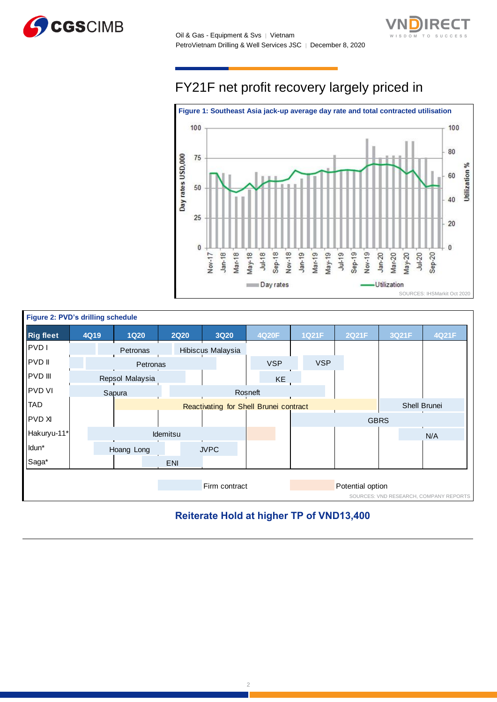



# FY21F net profit recovery largely priced in



| Figure 2: PVD's drilling schedule |      |  |                 |          |            |             |                                        |         |            |  |              |                  |             |                                        |
|-----------------------------------|------|--|-----------------|----------|------------|-------------|----------------------------------------|---------|------------|--|--------------|------------------|-------------|----------------------------------------|
| <b>Rig fleet</b>                  | 4Q19 |  | <b>1Q20</b>     |          |            | <b>2Q20</b> | <b>3Q20</b>                            |         | 4Q20F      |  | <b>1Q21F</b> | 2Q21F            | 3Q21F       | 4Q21F                                  |
| <b>PVD</b>                        |      |  | Petronas        |          |            |             | Hibiscus Malaysia                      |         |            |  |              |                  |             |                                        |
| <b>PVD</b> II                     |      |  |                 | Petronas |            |             |                                        |         | <b>VSP</b> |  | <b>VSP</b>   |                  |             |                                        |
| <b>PVD III</b>                    |      |  | Repsol Malaysia |          |            |             |                                        |         | KE         |  |              |                  |             |                                        |
| <b>PVD VI</b>                     |      |  | Sapura          |          |            |             |                                        | Rosneft |            |  |              |                  |             |                                        |
| <b>TAD</b>                        |      |  |                 |          |            |             | Reactivating for Shell Brunei contract |         |            |  |              |                  |             | Shell Brunei                           |
| <b>PVD XI</b>                     |      |  |                 |          |            |             |                                        |         |            |  |              |                  | <b>GBRS</b> |                                        |
| Hakuryu-11*                       |      |  |                 |          | Idemitsu   |             |                                        |         |            |  |              |                  |             | N/A                                    |
| Idun*                             |      |  | Hoang Long      |          |            |             | <b>JVPC</b>                            |         |            |  |              |                  |             |                                        |
| Saga*                             |      |  |                 |          | <b>ENI</b> |             |                                        |         |            |  |              |                  |             |                                        |
|                                   |      |  |                 |          |            |             |                                        |         |            |  |              |                  |             |                                        |
|                                   |      |  |                 |          |            |             | Firm contract                          |         |            |  |              | Potential option |             | SOURCES: VND RESEARCH, COMPANY REPORTS |

# **Reiterate Hold at higher TP of VND13,400**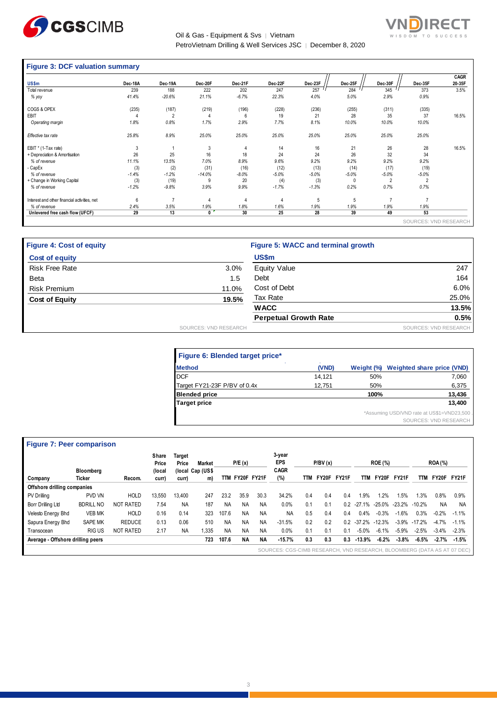

Oil & Gas - Equipment & Svs | Vietnam PetroVietnam Drilling & Well Services JSC │ December 8, 2020

# **RECT** SUCCESS

# **Figure 3: DCF valuation summary**

|                                              | Dec-18A | Dec-19A  | Dec-20F  | Dec-21F | Dec-22F | Dec-23F | Dec-25F | Dec-30F        | Dec-35F               | CAGR<br>20-35F |
|----------------------------------------------|---------|----------|----------|---------|---------|---------|---------|----------------|-----------------------|----------------|
| US\$m                                        |         |          |          |         |         |         |         |                |                       |                |
| Total revenue                                | 239     | 188      | 222      | 202     | 247     | 257     | 284     | 345            | 373                   | 3.5%           |
| % yoy                                        | 41.4%   | $-20.6%$ | 21.1%    | $-6.7%$ | 22.3%   | 4.0%    | 5.0%    | 2.9%           | 0.9%                  |                |
| COGS & OPEX                                  | (235)   | (187)    | (219)    | (196)   | (228)   | (236)   | (255)   | (311)          | (335)                 |                |
| EBIT                                         |         | 2        | 4        | 6       | 19      | 21      | 28      | 35             | 37                    | 16.5%          |
| Operating margin                             | 1.8%    | 0.8%     | 1.7%     | 2.9%    | 7.7%    | 8.1%    | 10.0%   | 10.0%          | 10.0%                 |                |
| Effective tax rate                           | 25.8%   | 8.9%     | 25.0%    | 25.0%   | 25.0%   | 25.0%   | 25.0%   | 25.0%          | 25.0%                 |                |
| EBIT * (1-Tax rate)                          | 3       |          | 3        | 4       | 14      | 16      | 21      | 26             | 28                    | 16.5%          |
| + Depreciation & Amortisation                | 26      | 25       | 16       | 18      | 24      | 24      | 26      | 32             | 34                    |                |
| % of revenue                                 | 11.1%   | 13.5%    | 7.0%     | 8.9%    | 9.6%    | 9.2%    | 9.2%    | 9.2%           | 9.2%                  |                |
| - CapEx                                      | (3)     | (2)      | (31)     | (16)    | (12)    | (13)    | (14)    | (17)           | (19)                  |                |
| % of revenue                                 | $-1.4%$ | $-1.2%$  | $-14.0%$ | $-8.0%$ | $-5.0%$ | $-5.0%$ | $-5.0%$ | $-5.0%$        | $-5.0%$               |                |
| + Change in Working Capital                  | (3)     | (19)     | 9        | 20      | (4)     | (3)     | 0       | $\overline{2}$ | $\overline{2}$        |                |
| % of revenue                                 | $-1.2%$ | $-9.8%$  | 3.9%     | 9.9%    | $-1.7%$ | $-1.3%$ | 0.2%    | 0.7%           | 0.7%                  |                |
| Interest and other financial activities, net | 6       | 7        | 4        | 4       |         | 5       | 5       |                | 7                     |                |
| % of revenue                                 | 2.4%    | 3.5%     | 1.9%     | 1.8%    | 1.6%    | 1.9%    | 1.9%    | 1.9%           | 1.9%                  |                |
| Unlevered free cash flow (UFCF)              | 29      | 13       | 0        | 30      | 25      | 28      | 39      | 49             | 53                    |                |
|                                              |         |          |          |         |         |         |         |                | SOURCES: VND RESEARCH |                |

| <b>Figure 4: Cost of equity</b> |                       | Figure 5: WACC and terminal growth |                       |
|---------------------------------|-----------------------|------------------------------------|-----------------------|
| <b>Cost of equity</b>           |                       | US\$m                              |                       |
| <b>Risk Free Rate</b>           | 3.0%                  | <b>Equity Value</b>                | 247                   |
| Beta                            | 1.5                   | Debt                               | 164                   |
| <b>Risk Premium</b>             | 11.0%                 | Cost of Debt                       | 6.0%                  |
| <b>Cost of Equity</b>           | 19.5%                 | Tax Rate                           | 25.0%                 |
|                                 |                       | <b>WACC</b>                        | 13.5%                 |
|                                 |                       | <b>Perpetual Growth Rate</b>       | 0.5%                  |
|                                 | SOURCES: VND RESEARCH |                                    | SOURCES: VND RESEARCH |

| Figure 6: Blended target price* |        |      |                                            |
|---------------------------------|--------|------|--------------------------------------------|
| ٠<br><b>Method</b>              | (VND)  |      | Weight (%) Weighted share price (VND)      |
| <b>DCF</b>                      | 14.121 | 50%  | 7,060                                      |
| Target FY21-23F P/BV of 0.4x    | 12.751 | 50%  | 6,375                                      |
| <b>Blended price</b>            |        | 100% | 13,436                                     |
| <b>Target price</b>             |        |      | 13.400                                     |
|                                 |        |      | *Assuming USD/VND rate at US\$1=VND23,500. |
|                                 |        |      | SOURCES: VND RESEARCH                      |

# **Figure 7: Peer comparison**

|                                   |                  |                  | Share<br>Price | <b>Target</b><br>Price | <b>Market</b>    |           | P/E(x)          |           | 3-year<br>EPS                                                           |     | P/BV(x) |       |          | <b>ROE (%)</b> |          |                  | <b>ROA</b> (%) |         |
|-----------------------------------|------------------|------------------|----------------|------------------------|------------------|-----------|-----------------|-----------|-------------------------------------------------------------------------|-----|---------|-------|----------|----------------|----------|------------------|----------------|---------|
|                                   | Bloomberg        |                  | (local         |                        | (local Cap (US\$ |           |                 |           | <b>CAGR</b>                                                             |     |         |       |          |                |          |                  |                |         |
| Company                           | <b>Ticker</b>    | Recom.           | curr)          | curr)                  | m)               |           | TTM FY20F FY21F |           | (%)                                                                     | TTM | FY20F   | FY21F | TTM      | FY20F          | FY21F    | TTM              | FY20F          | FY21F   |
| Offshore drilling companies       |                  |                  |                |                        |                  |           |                 |           |                                                                         |     |         |       |          |                |          |                  |                |         |
| PV Drilling                       | PVD VN           | <b>HOLD</b>      | 13,550         | 13.400                 | 247              | 23.2      | 35.9            | 30.3      | 34.2%                                                                   | 0.4 | 0.4     | 0.4   | 1.9%     | 1.2%           | .5%      | 1.3%             | 0.8%           | 0.9%    |
| Borr Drilling Ltd                 | <b>BDRILL NO</b> | <b>NOT RATED</b> | 7.54           | <b>NA</b>              | 187              | <b>NA</b> | <b>NA</b>       | <b>NA</b> | 0.0%                                                                    | 0.1 | 0.1     | 0.2   | $-27.1%$ | $-25.0%$       | -23.2%   | $-10.2\%$        | <b>NA</b>      | NA      |
| Velesto Energy Bhd                | <b>VEB MK</b>    | <b>HOLD</b>      | 0.16           | 0.14                   | 323              | 107.6     | <b>NA</b>       | <b>NA</b> | <b>NA</b>                                                               | 0.5 | 0.4     | 0.4   | 0.4%     | $-0.3%$        | $-1.6%$  | 0.3%             | $-0.2%$        | $-1.1%$ |
| Sapura Energy Bhd                 | <b>SAPE MK</b>   | <b>REDUCE</b>    | 0.13           | 0.06                   | 510              | <b>NA</b> | <b>NA</b>       | <b>NA</b> | $-31.5%$                                                                | 0.2 | 0.2     | 0.2   | $-37.2%$ | $-12.3%$       |          | $-3.9\% -17.2\%$ | $-4.7%$        | $-1.1%$ |
| Transocean                        | RIG US           | NOT RATED        | 2.17           | <b>NA</b>              | 1.335            | <b>NA</b> | <b>NA</b>       | <b>NA</b> | 0.0%                                                                    | 0.1 | 0.1     | 0.1   | $-5.0%$  | $-6.1%$        | $-5.9%$  | $-2.5%$          | $-3.4\%$       | $-2.3%$ |
| Average - Offshore drilling peers |                  |                  |                |                        | 723              | 107.6     | <b>NA</b>       | <b>NA</b> | $-15.7%$                                                                | 0.3 | 0.3     | 0.3   | $-13.9%$ | $-6.2%$        | $-3.8\%$ | -6.5%            | $-2.7%$        | $-1.5%$ |
|                                   |                  |                  |                |                        |                  |           |                 |           | SOURCES: CGS-CIMB RESEARCH, VND RESEARCH, BLOOMBERG (DATA AS AT 07 DEC) |     |         |       |          |                |          |                  |                |         |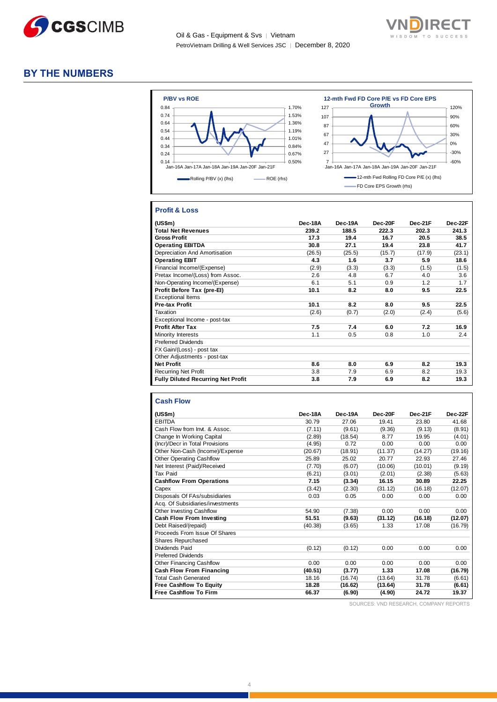

Oil & Gas - Equipment & Svs │ Vietnam PetroVietnam Drilling & Well Services JSC | December 8, 2020



### **BY THE NUMBERS**



#### **Profit & Loss**

| (US\$m)                                   | Dec-18A | Dec-19A | Dec-20F | Dec-21F | Dec-22F |
|-------------------------------------------|---------|---------|---------|---------|---------|
| <b>Total Net Revenues</b>                 | 239.2   | 188.5   | 222.3   | 202.3   | 241.3   |
| <b>Gross Profit</b>                       | 17.3    | 19.4    | 16.7    | 20.5    | 38.5    |
| <b>Operating EBITDA</b>                   | 30.8    | 27.1    | 19.4    | 23.8    | 41.7    |
| Depreciation And Amortisation             | (26.5)  | (25.5)  | (15.7)  | (17.9)  | (23.1)  |
| <b>Operating EBIT</b>                     | 4.3     | 1.6     | 3.7     | 5.9     | 18.6    |
| Financial Income/(Expense)                | (2.9)   | (3.3)   | (3.3)   | (1.5)   | (1.5)   |
| Pretax Income/(Loss) from Assoc.          | 2.6     | 4.8     | 6.7     | 4.0     | 3.6     |
| Non-Operating Income/(Expense)            | 6.1     | 5.1     | 0.9     | 1.2     | 1.7     |
| Profit Before Tax (pre-El)                | 10.1    | 8.2     | 8.0     | 9.5     | 22.5    |
| <b>Exceptional Items</b>                  |         |         |         |         |         |
| <b>Pre-tax Profit</b>                     | 10.1    | 8.2     | 8.0     | 9.5     | 22.5    |
| Taxation                                  | (2.6)   | (0.7)   | (2.0)   | (2.4)   | (5.6)   |
| Exceptional Income - post-tax             |         |         |         |         |         |
| <b>Profit After Tax</b>                   | 7.5     | 7.4     | 6.0     | 7.2     | 16.9    |
| Minority Interests                        | 1.1     | 0.5     | 0.8     | 1.0     | 2.4     |
| <b>Preferred Dividends</b>                |         |         |         |         |         |
| FX Gain/(Loss) - post tax                 |         |         |         |         |         |
| Other Adjustments - post-tax              |         |         |         |         |         |
| <b>Net Profit</b>                         | 8.6     | 8.0     | 6.9     | 8.2     | 19.3    |
| <b>Recurring Net Profit</b>               | 3.8     | 7.9     | 6.9     | 8.2     | 19.3    |
| <b>Fully Diluted Recurring Net Profit</b> | 3.8     | 7.9     | 6.9     | 8.2     | 19.3    |

#### **Cash Flow**

| (US\$m)                          | Dec-18A | Dec-19A | Dec-20F | Dec-21F | Dec-22F |
|----------------------------------|---------|---------|---------|---------|---------|
| <b>EBITDA</b>                    | 30.79   | 27.06   | 19.41   | 23.80   | 41.68   |
| Cash Flow from Invt. & Assoc.    | (7.11)  | (9.61)  | (9.36)  | (9.13)  | (8.91)  |
| Change In Working Capital        | (2.89)  | (18.54) | 8.77    | 19.95   | (4.01)  |
| (Incr)/Decr in Total Provisions  | (4.95)  | 0.72    | 0.00    | 0.00    | 0.00    |
| Other Non-Cash (Income)/Expense  | (20.67) | (18.91) | (11.37) | (14.27) | (19.16) |
| <b>Other Operating Cashflow</b>  | 25.89   | 25.02   | 20.77   | 22.93   | 27.46   |
| Net Interest (Paid)/Received     | (7.70)  | (6.07)  | (10.06) | (10.01) | (9.19)  |
| Tax Paid                         | (6.21)  | (3.01)  | (2.01)  | (2.38)  | (5.63)  |
| <b>Cashflow From Operations</b>  | 7.15    | (3.34)  | 16.15   | 30.89   | 22.25   |
| Capex                            | (3.42)  | (2.30)  | (31.12) | (16.18) | (12.07) |
| Disposals Of FAs/subsidiaries    | 0.03    | 0.05    | 0.00    | 0.00    | 0.00    |
| Acq. Of Subsidiaries/investments |         |         |         |         |         |
| <b>Other Investing Cashflow</b>  | 54.90   | (7.38)  | 0.00    | 0.00    | 0.00    |
| <b>Cash Flow From Investing</b>  | 51.51   | (9.63)  | (31.12) | (16.18) | (12.07) |
| Debt Raised/(repaid)             | (40.38) | (3.65)  | 1.33    | 17.08   | (16.79) |
| Proceeds From Issue Of Shares    |         |         |         |         |         |
| Shares Repurchased               |         |         |         |         |         |
| Dividends Paid                   | (0.12)  | (0.12)  | 0.00    | 0.00    | 0.00    |
| <b>Preferred Dividends</b>       |         |         |         |         |         |
| Other Financing Cashflow         | 0.00    | 0.00    | 0.00    | 0.00    | 0.00    |
| <b>Cash Flow From Financing</b>  | (40.51) | (3.77)  | 1.33    | 17.08   | (16.79) |
| <b>Total Cash Generated</b>      | 18.16   | (16.74) | (13.64) | 31.78   | (6.61)  |
| <b>Free Cashflow To Equity</b>   | 18.28   | (16.62) | (13.64) | 31.78   | (6.61)  |
| <b>Free Cashflow To Firm</b>     | 66.37   | (6.90)  | (4.90)  | 24.72   | 19.37   |

SOURCES: VND RESEARCH, COMPANY REPORTS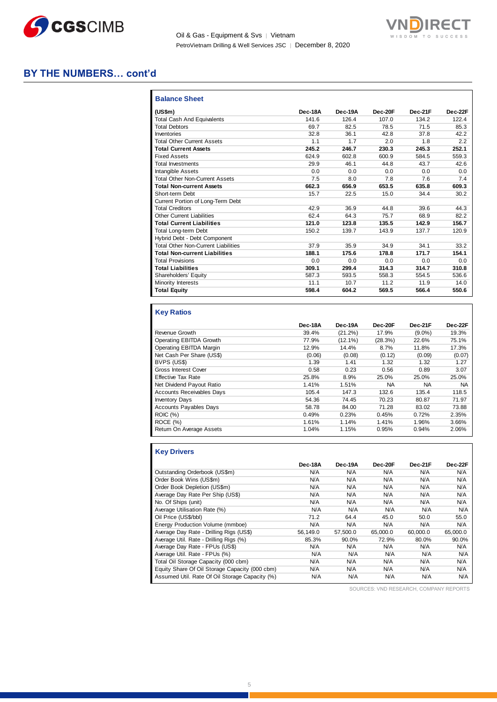

Oil & Gas - Equipment & Svs | Vietnam PetroVietnam Drilling & Well Services JSC | December 8, 2020



### **BY THE NUMBERS… cont'd**

| <b>Balance Sheet</b>                       |         |         |         |         |         |
|--------------------------------------------|---------|---------|---------|---------|---------|
| (US\$m)                                    | Dec-18A | Dec-19A | Dec-20F | Dec-21F | Dec-22F |
| Total Cash And Equivalents                 | 141.6   | 126.4   | 107.0   | 134.2   | 122.4   |
| <b>Total Debtors</b>                       | 69.7    | 82.5    | 78.5    | 71.5    | 85.3    |
| Inventories                                | 32.8    | 36.1    | 42.8    | 37.8    | 42.2    |
| <b>Total Other Current Assets</b>          | 1.1     | 1.7     | 2.0     | 1.8     | 2.2     |
| <b>Total Current Assets</b>                | 245.2   | 246.7   | 230.3   | 245.3   | 252.1   |
| <b>Fixed Assets</b>                        | 624.9   | 602.8   | 600.9   | 584.5   | 559.3   |
| <b>Total Investments</b>                   | 29.9    | 46.1    | 44.8    | 43.7    | 42.6    |
| <b>Intangible Assets</b>                   | 0.0     | 0.0     | 0.0     | 0.0     | 0.0     |
| <b>Total Other Non-Current Assets</b>      | 7.5     | 8.0     | 7.8     | 7.6     | 7.4     |
| <b>Total Non-current Assets</b>            | 662.3   | 656.9   | 653.5   | 635.8   | 609.3   |
| Short-term Debt                            | 15.7    | 22.5    | 15.0    | 34.4    | 30.2    |
| Current Portion of Long-Term Debt          |         |         |         |         |         |
| <b>Total Creditors</b>                     | 42.9    | 36.9    | 44.8    | 39.6    | 44.3    |
| <b>Other Current Liabilities</b>           | 62.4    | 64.3    | 75.7    | 68.9    | 82.2    |
| <b>Total Current Liabilities</b>           | 121.0   | 123.8   | 135.5   | 142.9   | 156.7   |
| Total Long-term Debt                       | 150.2   | 139.7   | 143.9   | 137.7   | 120.9   |
| Hybrid Debt - Debt Component               |         |         |         |         |         |
| <b>Total Other Non-Current Liabilities</b> | 37.9    | 35.9    | 34.9    | 34.1    | 33.2    |
| <b>Total Non-current Liabilities</b>       | 188.1   | 175.6   | 178.8   | 171.7   | 154.1   |
| <b>Total Provisions</b>                    | 0.0     | 0.0     | 0.0     | 0.0     | 0.0     |
| <b>Total Liabilities</b>                   | 309.1   | 299.4   | 314.3   | 314.7   | 310.8   |
| Shareholders' Equity                       | 587.3   | 593.5   | 558.3   | 554.5   | 536.6   |
| Minority Interests                         | 11.1    | 10.7    | 11.2    | 11.9    | 14.0    |
| <b>Total Equity</b>                        | 598.4   | 604.2   | 569.5   | 566.4   | 550.6   |

### **Key Ratios**

П

|                                  | Dec-18A | Dec-19A    | Dec-20F | Dec-21F   | Dec-22F |
|----------------------------------|---------|------------|---------|-----------|---------|
| Revenue Growth                   | 39.4%   | (21.2%)    | 17.9%   | $(9.0\%)$ | 19.3%   |
| Operating EBITDA Growth          | 77.9%   | $(12.1\%)$ | (28.3%) | 22.6%     | 75.1%   |
| Operating EBITDA Margin          | 12.9%   | 14.4%      | 8.7%    | 11.8%     | 17.3%   |
| Net Cash Per Share (US\$)        | (0.06)  | (0.08)     | (0.12)  | (0.09)    | (0.07)  |
| BVPS (US\$)                      | 1.39    | 1.41       | 1.32    | 1.32      | 1.27    |
| <b>Gross Interest Cover</b>      | 0.58    | 0.23       | 0.56    | 0.89      | 3.07    |
| <b>Effective Tax Rate</b>        | 25.8%   | 8.9%       | 25.0%   | 25.0%     | 25.0%   |
| Net Dividend Payout Ratio        | 1.41%   | 1.51%      | NA      | NA.       | NA      |
| <b>Accounts Receivables Days</b> | 105.4   | 147.3      | 132.6   | 135.4     | 118.5   |
| <b>Inventory Days</b>            | 54.36   | 74.45      | 70.23   | 80.87     | 71.97   |
| <b>Accounts Payables Days</b>    | 58.78   | 84.00      | 71.28   | 83.02     | 73.88   |
| <b>ROIC (%)</b>                  | 0.49%   | 0.23%      | 0.45%   | 0.72%     | 2.35%   |
| ROCE (%)                         | 1.61%   | 1.14%      | 1.41%   | 1.96%     | 3.66%   |
| Return On Average Assets         | 1.04%   | 1.15%      | 0.95%   | 0.94%     | 2.06%   |

| <b>Key Drivers</b>                             |          |          |          |          |          |
|------------------------------------------------|----------|----------|----------|----------|----------|
|                                                | Dec-18A  | Dec-19A  | Dec-20F  | Dec-21F  | Dec-22F  |
| Outstanding Orderbook (US\$m)                  | N/A      | N/A      | N/A      | N/A      | N/A      |
| Order Book Wins (US\$m)                        | N/A      | N/A      | N/A      | N/A      | N/A      |
| Order Book Depletion (US\$m)                   | N/A      | N/A      | N/A      | N/A      | N/A      |
| Average Day Rate Per Ship (US\$)               | N/A      | N/A      | N/A      | N/A      | N/A      |
| No. Of Ships (unit)                            | N/A      | N/A      | N/A      | N/A      | N/A      |
| Average Utilisation Rate (%)                   | N/A      | N/A      | N/A      | N/A      | N/A      |
| Oil Price (US\$/bbl)                           | 71.2     | 64.4     | 45.0     | 50.0     | 55.0     |
| Energy Production Volume (mmboe)               | N/A      | N/A      | N/A      | N/A      | N/A      |
| Average Day Rate - Drilling Rigs (US\$)        | 56.149.0 | 57.500.0 | 65,000.0 | 60.000.0 | 65,000.0 |
| Average Util. Rate - Drilling Rigs (%)         | 85.3%    | 90.0%    | 72.9%    | 80.0%    | 90.0%    |
| Average Day Rate - FPUs (US\$)                 | N/A      | N/A      | N/A      | N/A      | N/A      |
| Average Util. Rate - FPUs (%)                  | N/A      | N/A      | N/A      | N/A      | N/A      |
| Total Oil Storage Capacity (000 cbm)           | N/A      | N/A      | N/A      | N/A      | N/A      |
| Equity Share Of Oil Storage Capacity (000 cbm) | N/A      | N/A      | N/A      | N/A      | N/A      |
| Assumed Util. Rate Of Oil Storage Capacity (%) | N/A      | N/A      | N/A      | N/A      | N/A      |

SOURCES: VND RESEARCH, COMPANY REPORTS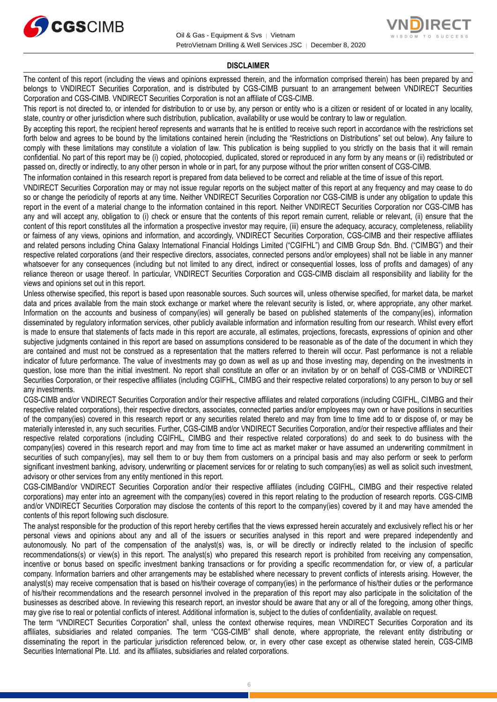



#### **DISCLAIMER**

The content of this report (including the views and opinions expressed therein, and the information comprised therein) has been prepared by and belongs to VNDIRECT Securities Corporation, and is distributed by CGS-CIMB pursuant to an arrangement between VNDIRECT Securities Corporation and CGS-CIMB. VNDIRECT Securities Corporation is not an affiliate of CGS-CIMB.

This report is not directed to, or intended for distribution to or use by, any person or entity who is a citizen or resident of or located in any locality, state, country or other jurisdiction where such distribution, publication, availability or use would be contrary to law or regulation.

By accepting this report, the recipient hereof represents and warrants that he is entitled to receive such report in accordance with the restrictions set forth below and agrees to be bound by the limitations contained herein (including the "Restrictions on Distributions" set out below). Any failure to comply with these limitations may constitute a violation of law. This publication is being supplied to you strictly on the basis that it will remain confidential. No part of this report may be (i) copied, photocopied, duplicated, stored or reproduced in any form by any means or (ii) redistributed or passed on, directly or indirectly, to any other person in whole or in part, for any purpose without the prior written consent of CGS-CIMB.

The information contained in this research report is prepared from data believed to be correct and reliable at the time of issue of this report.

VNDIRECT Securities Corporation may or may not issue regular reports on the subject matter of this report at any frequency and may cease to do so or change the periodicity of reports at any time. Neither VNDIRECT Securities Corporation nor CGS-CIMB is under any obligation to update this report in the event of a material change to the information contained in this report. Neither VNDIRECT Securities Corporation nor CGS-CIMB has any and will accept any, obligation to (i) check or ensure that the contents of this report remain current, reliable or relevant, (ii) ensure that the content of this report constitutes all the information a prospective investor may require, (iii) ensure the adequacy, accuracy, completeness, reliability or fairness of any views, opinions and information, and accordingly, VNDIRECT Securities Corporation, CGS-CIMB and their respective affiliates and related persons including China Galaxy International Financial Holdings Limited ("CGIFHL") and CIMB Group Sdn. Bhd. ("CIMBG") and their respective related corporations (and their respective directors, associates, connected persons and/or employees) shall not be liable in any manner whatsoever for any consequences (including but not limited to any direct, indirect or consequential losses, loss of profits and damages) of any reliance thereon or usage thereof. In particular, VNDIRECT Securities Corporation and CGS-CIMB disclaim all responsibility and liability for the views and opinions set out in this report.

Unless otherwise specified, this report is based upon reasonable sources. Such sources will, unless otherwise specified, for market data, be market data and prices available from the main stock exchange or market where the relevant security is listed, or, where appropriate, any other market. Information on the accounts and business of company(ies) will generally be based on published statements of the company(ies), information disseminated by regulatory information services, other publicly available information and information resulting from our research. Whilst every effort is made to ensure that statements of facts made in this report are accurate, all estimates, projections, forecasts, expressions of opinion and other subjective judgments contained in this report are based on assumptions considered to be reasonable as of the date of the document in which they are contained and must not be construed as a representation that the matters referred to therein will occur. Past performance is not a reliable indicator of future performance. The value of investments may go down as well as up and those investing may, depending on the investments in question, lose more than the initial investment. No report shall constitute an offer or an invitation by or on behalf of CGS-CIMB or VNDIRECT Securities Corporation, or their respective affiliates (including CGIFHL, CIMBG and their respective related corporations) to any person to buy or sell any investments.

CGS-CIMB and/or VNDIRECT Securities Corporation and/or their respective affiliates and related corporations (including CGIFHL, CIMBG and their respective related corporations), their respective directors, associates, connected parties and/or employees may own or have positions in securities of the company(ies) covered in this research report or any securities related thereto and may from time to time add to or dispose of, or may be materially interested in, any such securities. Further, CGS-CIMB and/or VNDIRECT Securities Corporation, and/or their respective affiliates and their respective related corporations (including CGIFHL, CIMBG and their respective related corporations) do and seek to do business with the company(ies) covered in this research report and may from time to time act as market maker or have assumed an underwriting commitment in securities of such company(ies), may sell them to or buy them from customers on a principal basis and may also perform or seek to perform significant investment banking, advisory, underwriting or placement services for or relating to such company(ies) as well as solicit such investment, advisory or other services from any entity mentioned in this report.

CGS-CIMBand/or VNDIRECT Securities Corporation and/or their respective affiliates (including CGIFHL, CIMBG and their respective related corporations) may enter into an agreement with the company(ies) covered in this report relating to the production of research reports. CGS-CIMB and/or VNDIRECT Securities Corporation may disclose the contents of this report to the company(ies) covered by it and may have amended the contents of this report following such disclosure.

The analyst responsible for the production of this report hereby certifies that the views expressed herein accurately and exclusively reflect his or her personal views and opinions about any and all of the issuers or securities analysed in this report and were prepared independently and autonomously. No part of the compensation of the analyst(s) was, is, or will be directly or indirectly related to the inclusion of specific recommendations(s) or view(s) in this report. The analyst(s) who prepared this research report is prohibited from receiving any compensation, incentive or bonus based on specific investment banking transactions or for providing a specific recommendation for, or view of, a particular company. Information barriers and other arrangements may be established where necessary to prevent conflicts of interests arising. However, the analyst(s) may receive compensation that is based on his/their coverage of company(ies) in the performance of his/their duties or the performance of his/their recommendations and the research personnel involved in the preparation of this report may also participate in the solicitation of the businesses as described above. In reviewing this research report, an investor should be aware that any or all of the foregoing, among other things, may give rise to real or potential conflicts of interest. Additional information is, subject to the duties of confidentiality, available on request.

The term "VNDIRECT Securities Corporation" shall, unless the context otherwise requires, mean VNDIRECT Securities Corporation and its affiliates, subsidiaries and related companies. The term "CGS-CIMB" shall denote, where appropriate, the relevant entity distributing or disseminating the report in the particular jurisdiction referenced below, or, in every other case except as otherwise stated herein, CGS-CIMB Securities International Pte. Ltd. and its affiliates, subsidiaries and related corporations.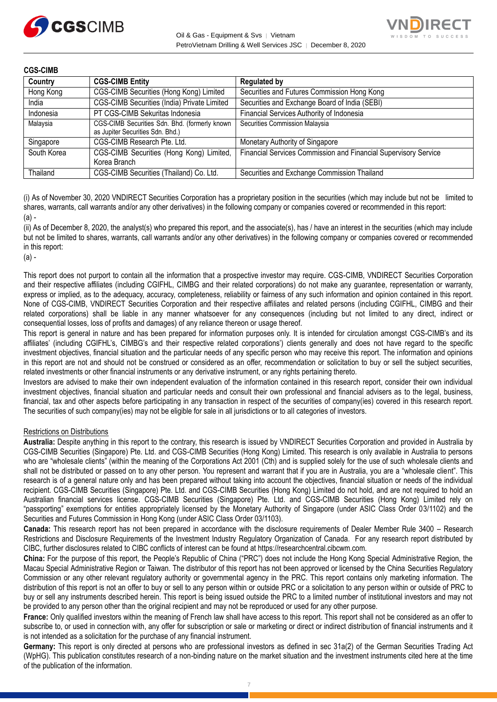



| <b>CGS-CIMB</b> |                                                                                   |                                                                 |
|-----------------|-----------------------------------------------------------------------------------|-----------------------------------------------------------------|
| Country         | <b>CGS-CIMB Entity</b>                                                            | <b>Regulated by</b>                                             |
| Hong Kong       | CGS-CIMB Securities (Hong Kong) Limited                                           | Securities and Futures Commission Hong Kong                     |
| India           | CGS-CIMB Securities (India) Private Limited                                       | Securities and Exchange Board of India (SEBI)                   |
| Indonesia       | PT CGS-CIMB Sekuritas Indonesia                                                   | Financial Services Authority of Indonesia                       |
| Malaysia        | CGS-CIMB Securities Sdn. Bhd. (formerly known<br>as Jupiter Securities Sdn. Bhd.) | Securities Commission Malaysia                                  |
| Singapore       | CGS-CIMB Research Pte. Ltd.                                                       | Monetary Authority of Singapore                                 |
| South Korea     | CGS-CIMB Securities (Hong Kong) Limited,<br>Korea Branch                          | Financial Services Commission and Financial Supervisory Service |
| Thailand        | CGS-CIMB Securities (Thailand) Co. Ltd.                                           | Securities and Exchange Commission Thailand                     |

(i) As of November 30, 2020 VNDIRECT Securities Corporation has a proprietary position in the securities (which may include but not be limited to shares, warrants, call warrants and/or any other derivatives) in the following company or companies covered or recommended in this report:  $(a)$  -

(ii) As of December 8, 2020, the analyst(s) who prepared this report, and the associate(s), has / have an interest in the securities (which may include but not be limited to shares, warrants, call warrants and/or any other derivatives) in the following company or companies covered or recommended in this report:

(a) -

This report does not purport to contain all the information that a prospective investor may require. CGS-CIMB, VNDIRECT Securities Corporation and their respective affiliates (including CGIFHL, CIMBG and their related corporations) do not make any guarantee, representation or warranty, express or implied, as to the adequacy, accuracy, completeness, reliability or fairness of any such information and opinion contained in this report. None of CGS-CIMB, VNDIRECT Securities Corporation and their respective affiliates and related persons (including CGIFHL, CIMBG and their related corporations) shall be liable in any manner whatsoever for any consequences (including but not limited to any direct, indirect or consequential losses, loss of profits and damages) of any reliance thereon or usage thereof.

This report is general in nature and has been prepared for information purposes only. It is intended for circulation amongst CGS-CIMB's and its affiliates' (including CGIFHL's, CIMBG's and their respective related corporations') clients generally and does not have regard to the specific investment objectives, financial situation and the particular needs of any specific person who may receive this report. The information and opinions in this report are not and should not be construed or considered as an offer, recommendation or solicitation to buy or sell the subject securities, related investments or other financial instruments or any derivative instrument, or any rights pertaining thereto.

Investors are advised to make their own independent evaluation of the information contained in this research report, consider their own individual investment objectives, financial situation and particular needs and consult their own professional and financial advisers as to the legal, business, financial, tax and other aspects before participating in any transaction in respect of the securities of company(ies) covered in this research report. The securities of such company(ies) may not be eligible for sale in all jurisdictions or to all categories of investors.

#### Restrictions on Distributions

**Australia:** Despite anything in this report to the contrary, this research is issued by VNDIRECT Securities Corporation and provided in Australia by CGS-CIMB Securities (Singapore) Pte. Ltd. and CGS-CIMB Securities (Hong Kong) Limited. This research is only available in Australia to persons who are "wholesale clients" (within the meaning of the Corporations Act 2001 (Cth) and is supplied solely for the use of such wholesale clients and shall not be distributed or passed on to any other person. You represent and warrant that if you are in Australia, you are a "wholesale client". This research is of a general nature only and has been prepared without taking into account the objectives, financial situation or needs of the individual recipient. CGS-CIMB Securities (Singapore) Pte. Ltd. and CGS-CIMB Securities (Hong Kong) Limited do not hold, and are not required to hold an Australian financial services license. CGS-CIMB Securities (Singapore) Pte. Ltd. and CGS-CIMB Securities (Hong Kong) Limited rely on "passporting" exemptions for entities appropriately licensed by the Monetary Authority of Singapore (under ASIC Class Order 03/1102) and the Securities and Futures Commission in Hong Kong (under ASIC Class Order 03/1103).

**Canada:** This research report has not been prepared in accordance with the disclosure requirements of Dealer Member Rule 3400 – Research Restrictions and Disclosure Requirements of the Investment Industry Regulatory Organization of Canada. For any research report distributed by CIBC, further disclosures related to CIBC conflicts of interest can be found at https://researchcentral.cibcwm.com.

**China:** For the purpose of this report, the People's Republic of China ("PRC") does not include the Hong Kong Special Administrative Region, the Macau Special Administrative Region or Taiwan. The distributor of this report has not been approved or licensed by the China Securities Regulatory Commission or any other relevant regulatory authority or governmental agency in the PRC. This report contains only marketing information. The distribution of this report is not an offer to buy or sell to any person within or outside PRC or a solicitation to any person within or outside of PRC to buy or sell any instruments described herein. This report is being issued outside the PRC to a limited number of institutional investors and may not be provided to any person other than the original recipient and may not be reproduced or used for any other purpose.

**France:** Only qualified investors within the meaning of French law shall have access to this report. This report shall not be considered as an offer to subscribe to, or used in connection with, any offer for subscription or sale or marketing or direct or indirect distribution of financial instruments and it is not intended as a solicitation for the purchase of any financial instrument.

**Germany:** This report is only directed at persons who are professional investors as defined in sec 31a(2) of the German Securities Trading Act (WpHG). This publication constitutes research of a non-binding nature on the market situation and the investment instruments cited here at the time of the publication of the information.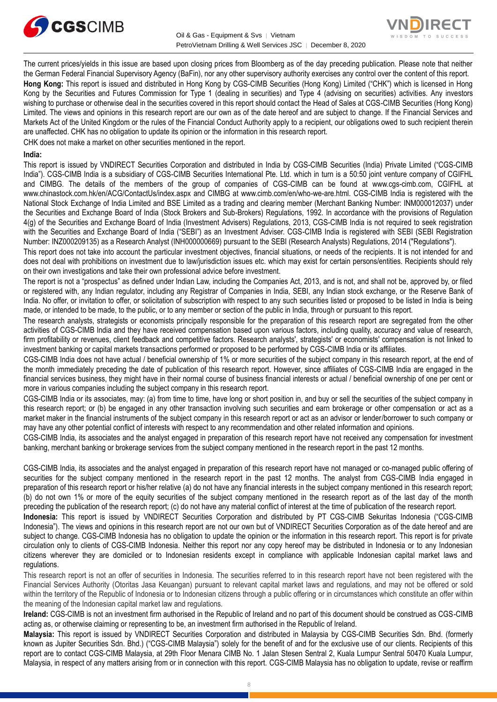



The current prices/yields in this issue are based upon closing prices from Bloomberg as of the day preceding publication. Please note that neither the German Federal Financial Supervisory Agency (BaFin), nor any other supervisory authority exercises any control over the content of this report. **Hong Kong:** This report is issued and distributed in Hong Kong by CGS-CIMB Securities (Hong Kong) Limited ("CHK") which is licensed in Hong Kong by the Securities and Futures Commission for Type 1 (dealing in securities) and Type 4 (advising on securities) activities. Any investors wishing to purchase or otherwise deal in the securities covered in this report should contact the Head of Sales at CGS-CIMB Securities (Hong Kong) Limited. The views and opinions in this research report are our own as of the date hereof and are subject to change. If the Financial Services and Markets Act of the United Kingdom or the rules of the Financial Conduct Authority apply to a recipient, our obligations owed to such recipient therein are unaffected. CHK has no obligation to update its opinion or the information in this research report.

CHK does not make a market on other securities mentioned in the report.

#### **India:**

This report is issued by VNDIRECT Securities Corporation and distributed in India by CGS-CIMB Securities (India) Private Limited ("CGS-CIMB India"). CGS-CIMB India is a subsidiary of CGS-CIMB Securities International Pte. Ltd. which in turn is a 50:50 joint venture company of CGIFHL and CIMBG. The details of the members of the group of companies of CGS-CIMB can be found at www.cgs-cimb.com, CGIFHL at www.chinastock.com.hk/en/ACG/ContactUs/index.aspx and CIMBG at www.cimb.com/en/who-we-are.html. CGS-CIMB India is registered with the National Stock Exchange of India Limited and BSE Limited as a trading and clearing member (Merchant Banking Number: INM000012037) under the Securities and Exchange Board of India (Stock Brokers and Sub-Brokers) Regulations, 1992. In accordance with the provisions of Regulation 4(g) of the Securities and Exchange Board of India (Investment Advisers) Regulations, 2013, CGS-CIMB India is not required to seek registration with the Securities and Exchange Board of India ("SEBI") as an Investment Adviser. CGS-CIMB India is registered with SEBI (SEBI Registration Number: INZ000209135) as a Research Analyst (INH000000669) pursuant to the SEBI (Research Analysts) Regulations, 2014 ("Regulations").

This report does not take into account the particular investment objectives, financial situations, or needs of the recipients. It is not intended for and does not deal with prohibitions on investment due to law/jurisdiction issues etc. which may exist for certain persons/entities. Recipients should rely on their own investigations and take their own professional advice before investment.

The report is not a "prospectus" as defined under Indian Law, including the Companies Act, 2013, and is not, and shall not be, approved by, or filed or registered with, any Indian regulator, including any Registrar of Companies in India, SEBI, any Indian stock exchange, or the Reserve Bank of India. No offer, or invitation to offer, or solicitation of subscription with respect to any such securities listed or proposed to be listed in India is being made, or intended to be made, to the public, or to any member or section of the public in India, through or pursuant to this report.

The research analysts, strategists or economists principally responsible for the preparation of this research report are segregated from the other activities of CGS-CIMB India and they have received compensation based upon various factors, including quality, accuracy and value of research, firm profitability or revenues, client feedback and competitive factors. Research analysts', strategists' or economists' compensation is not linked to investment banking or capital markets transactions performed or proposed to be performed by CGS-CIMB India or its affiliates.

CGS-CIMB India does not have actual / beneficial ownership of 1% or more securities of the subject company in this research report, at the end of the month immediately preceding the date of publication of this research report. However, since affiliates of CGS-CIMB India are engaged in the financial services business, they might have in their normal course of business financial interests or actual / beneficial ownership of one per cent or more in various companies including the subject company in this research report.

CGS-CIMB India or its associates, may: (a) from time to time, have long or short position in, and buy or sell the securities of the subject company in this research report; or (b) be engaged in any other transaction involving such securities and earn brokerage or other compensation or act as a market maker in the financial instruments of the subject company in this research report or act as an advisor or lender/borrower to such company or may have any other potential conflict of interests with respect to any recommendation and other related information and opinions.

CGS-CIMB India, its associates and the analyst engaged in preparation of this research report have not received any compensation for investment banking, merchant banking or brokerage services from the subject company mentioned in the research report in the past 12 months.

CGS-CIMB India, its associates and the analyst engaged in preparation of this research report have not managed or co-managed public offering of securities for the subject company mentioned in the research report in the past 12 months. The analyst from CGS-CIMB India engaged in preparation of this research report or his/her relative (a) do not have any financial interests in the subject company mentioned in this research report; (b) do not own 1% or more of the equity securities of the subject company mentioned in the research report as of the last day of the month preceding the publication of the research report; (c) do not have any material conflict of interest at the time of publication of the research report.

**Indonesia:** This report is issued by VNDIRECT Securities Corporation and distributed by PT CGS-CIMB Sekuritas Indonesia ("CGS-CIMB Indonesia"). The views and opinions in this research report are not our own but of VNDIRECT Securities Corporation as of the date hereof and are subject to change. CGS-CIMB Indonesia has no obligation to update the opinion or the information in this research report. This report is for private circulation only to clients of CGS-CIMB Indonesia. Neither this report nor any copy hereof may be distributed in Indonesia or to any Indonesian citizens wherever they are domiciled or to Indonesian residents except in compliance with applicable Indonesian capital market laws and regulations.

This research report is not an offer of securities in Indonesia. The securities referred to in this research report have not been registered with the Financial Services Authority (Otoritas Jasa Keuangan) pursuant to relevant capital market laws and regulations, and may not be offered or sold within the territory of the Republic of Indonesia or to Indonesian citizens through a public offering or in circumstances which constitute an offer within the meaning of the Indonesian capital market law and regulations.

**Ireland:** CGS-CIMB is not an investment firm authorised in the Republic of Ireland and no part of this document should be construed as CGS-CIMB acting as, or otherwise claiming or representing to be, an investment firm authorised in the Republic of Ireland.

**Malaysia:** This report is issued by VNDIRECT Securities Corporation and distributed in Malaysia by CGS-CIMB Securities Sdn. Bhd. (formerly known as Jupiter Securities Sdn. Bhd.) ("CGS-CIMB Malaysia") solely for the benefit of and for the exclusive use of our clients. Recipients of this report are to contact CGS-CIMB Malaysia, at 29th Floor Menara CIMB No. 1 Jalan Stesen Sentral 2, Kuala Lumpur Sentral 50470 Kuala Lumpur, Malaysia, in respect of any matters arising from or in connection with this report. CGS-CIMB Malaysia has no obligation to update, revise or reaffirm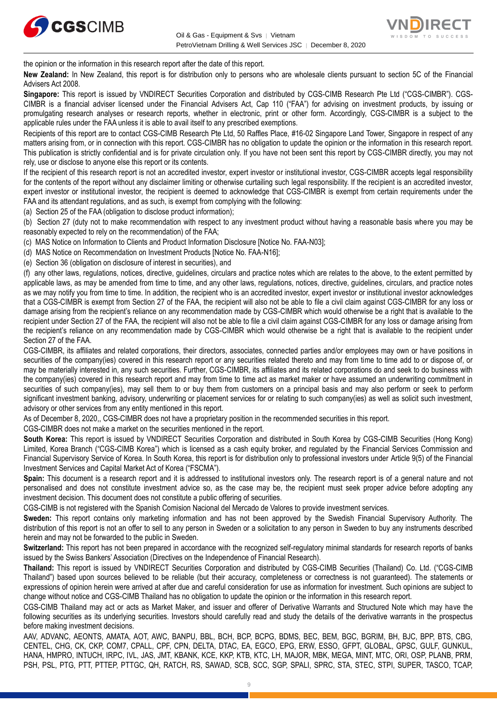



the opinion or the information in this research report after the date of this report.

**New Zealand:** In New Zealand, this report is for distribution only to persons who are wholesale clients pursuant to section 5C of the Financial Advisers Act 2008.

**Singapore:** This report is issued by VNDIRECT Securities Corporation and distributed by CGS-CIMB Research Pte Ltd ("CGS-CIMBR"). CGS-CIMBR is a financial adviser licensed under the Financial Advisers Act, Cap 110 ("FAA") for advising on investment products, by issuing or promulgating research analyses or research reports, whether in electronic, print or other form. Accordingly, CGS-CIMBR is a subject to the applicable rules under the FAA unless it is able to avail itself to any prescribed exemptions.

Recipients of this report are to contact CGS-CIMB Research Pte Ltd, 50 Raffles Place, #16-02 Singapore Land Tower, Singapore in respect of any matters arising from, or in connection with this report. CGS-CIMBR has no obligation to update the opinion or the information in this research report. This publication is strictly confidential and is for private circulation only. If you have not been sent this report by CGS-CIMBR directly, you may not rely, use or disclose to anyone else this report or its contents.

If the recipient of this research report is not an accredited investor, expert investor or institutional investor, CGS-CIMBR accepts legal responsibility for the contents of the report without any disclaimer limiting or otherwise curtailing such legal responsibility. If the recipient is an accredited investor, expert investor or institutional investor, the recipient is deemed to acknowledge that CGS-CIMBR is exempt from certain requirements under the FAA and its attendant regulations, and as such, is exempt from complying with the following:

(a) Section 25 of the FAA (obligation to disclose product information);

(b) Section 27 (duty not to make recommendation with respect to any investment product without having a reasonable basis where you may be reasonably expected to rely on the recommendation) of the FAA;

(c) MAS Notice on Information to Clients and Product Information Disclosure [Notice No. FAA-N03];

(d) MAS Notice on Recommendation on Investment Products [Notice No. FAA-N16];

(e) Section 36 (obligation on disclosure of interest in securities), and

(f) any other laws, regulations, notices, directive, guidelines, circulars and practice notes which are relates to the above, to the extent permitted by applicable laws, as may be amended from time to time, and any other laws, regulations, notices, directive, guidelines, circulars, and practice notes as we may notify you from time to time. In addition, the recipient who is an accredited investor, expert investor or institutional investor acknowledges that a CGS-CIMBR is exempt from Section 27 of the FAA, the recipient will also not be able to file a civil claim against CGS-CIMBR for any loss or damage arising from the recipient's reliance on any recommendation made by CGS-CIMBR which would otherwise be a right that is available to the recipient under Section 27 of the FAA, the recipient will also not be able to file a civil claim against CGS-CIMBR for any loss or damage arising from the recipient's reliance on any recommendation made by CGS-CIMBR which would otherwise be a right that is available to the recipient under Section 27 of the FAA.

CGS-CIMBR, its affiliates and related corporations, their directors, associates, connected parties and/or employees may own or have positions in securities of the company(ies) covered in this research report or any securities related thereto and may from time to time add to or dispose of, or may be materially interested in, any such securities. Further, CGS-CIMBR, its affiliates and its related corporations do and seek to do business with the company(ies) covered in this research report and may from time to time act as market maker or have assumed an underwriting commitment in securities of such company(ies), may sell them to or buy them from customers on a principal basis and may also perform or seek to perform significant investment banking, advisory, underwriting or placement services for or relating to such company(ies) as well as solicit such investment, advisory or other services from any entity mentioned in this report.

As of December 8, 2020,, CGS-CIMBR does not have a proprietary position in the recommended securities in this report.

CGS-CIMBR does not make a market on the securities mentioned in the report.

**South Korea:** This report is issued by VNDIRECT Securities Corporation and distributed in South Korea by CGS-CIMB Securities (Hong Kong) Limited, Korea Branch ("CGS-CIMB Korea") which is licensed as a cash equity broker, and regulated by the Financial Services Commission and Financial Supervisory Service of Korea. In South Korea, this report is for distribution only to professional investors under Article 9(5) of the Financial Investment Services and Capital Market Act of Korea ("FSCMA").

**Spain:** This document is a research report and it is addressed to institutional investors only. The research report is of a general nature and not personalised and does not constitute investment advice so, as the case may be, the recipient must seek proper advice before adopting any investment decision. This document does not constitute a public offering of securities.

CGS-CIMB is not registered with the Spanish Comision Nacional del Mercado de Valores to provide investment services.

**Sweden:** This report contains only marketing information and has not been approved by the Swedish Financial Supervisory Authority. The distribution of this report is not an offer to sell to any person in Sweden or a solicitation to any person in Sweden to buy any instruments described herein and may not be forwarded to the public in Sweden.

**Switzerland:** This report has not been prepared in accordance with the recognized self-regulatory minimal standards for research reports of banks issued by the Swiss Bankers' Association (Directives on the Independence of Financial Research).

**Thailand:** This report is issued by VNDIRECT Securities Corporation and distributed by CGS-CIMB Securities (Thailand) Co. Ltd. ("CGS-CIMB Thailand") based upon sources believed to be reliable (but their accuracy, completeness or correctness is not guaranteed). The statements or expressions of opinion herein were arrived at after due and careful consideration for use as information for investment. Such opinions are subject to change without notice and CGS-CIMB Thailand has no obligation to update the opinion or the information in this research report.

CGS-CIMB Thailand may act or acts as Market Maker, and issuer and offerer of Derivative Warrants and Structured Note which may have the following securities as its underlying securities. Investors should carefully read and study the details of the derivative warrants in the prospectus before making investment decisions.

AAV, ADVANC, AEONTS, AMATA, AOT, AWC, BANPU, BBL, BCH, BCP, BCPG, BDMS, BEC, BEM, BGC, BGRIM, BH, BJC, BPP, BTS, CBG, CENTEL, CHG, CK, CKP, COM7, CPALL, CPF, CPN, DELTA, DTAC, EA, EGCO, EPG, ERW, ESSO, GFPT, GLOBAL, GPSC, GULF, GUNKUL, HANA, HMPRO, INTUCH, IRPC, IVL, JAS, JMT, KBANK, KCE, KKP, KTB, KTC, LH, MAJOR, MBK, MEGA, MINT, MTC, ORI, OSP, PLANB, PRM, PSH, PSL, PTG, PTT, PTTEP, PTTGC, QH, RATCH, RS, SAWAD, SCB, SCC, SGP, SPALI, SPRC, STA, STEC, STPI, SUPER, TASCO, TCAP,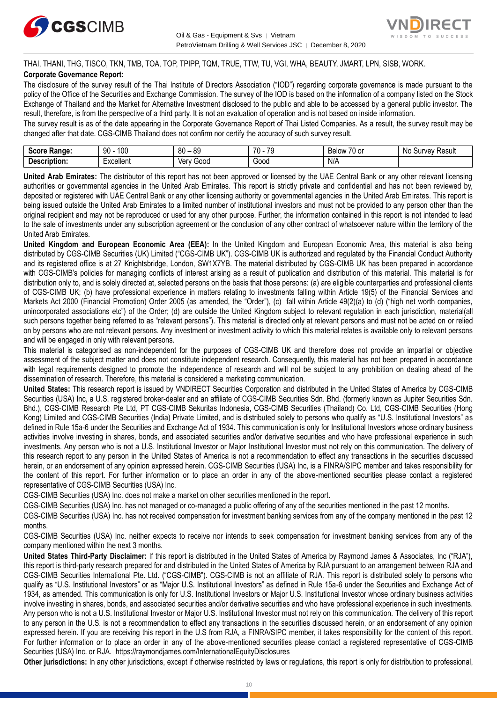



THAI, THANI, THG, TISCO, TKN, TMB, TOA, TOP, TPIPP, TQM, TRUE, TTW, TU, VGI, WHA, BEAUTY, JMART, LPN, SISB, WORK. **Corporate Governance Report:**

The disclosure of the survey result of the Thai Institute of Directors Association ("IOD") regarding corporate governance is made pursuant to the policy of the Office of the Securities and Exchange Commission. The survey of the IOD is based on the information of a company listed on the Stock Exchange of Thailand and the Market for Alternative Investment disclosed to the public and able to be accessed by a general public investor. The result, therefore, is from the perspective of a third party. It is not an evaluation of operation and is not based on inside information.

The survey result is as of the date appearing in the Corporate Governance Report of Thai Listed Companies. As a result, the survey result may be changed after that date. CGS-CIMB Thailand does not confirm nor certify the accuracy of such survey result.

| <b>Range:</b><br>Score     | م∩1<br>۵n<br>טע<br>ĴU | 89<br>80<br>$\overline{\phantom{a}}$ | 70<br>70<br>. . | $\overline{\phantom{a}}$<br>Below<br>$\sim$<br>. ט<br>v | : Result<br>N0<br>urve <sup>.</sup> |
|----------------------------|-----------------------|--------------------------------------|-----------------|---------------------------------------------------------|-------------------------------------|
| <b>Descrip</b><br>ription: | Lyonllont<br>∟∧∪∪แ∪เแ | 000خ<br>Verv                         | 000ن            | N/A                                                     |                                     |

**United Arab Emirates:** The distributor of this report has not been approved or licensed by the UAE Central Bank or any other relevant licensing authorities or governmental agencies in the United Arab Emirates. This report is strictly private and confidential and has not been reviewed by, deposited or registered with UAE Central Bank or any other licensing authority or governmental agencies in the United Arab Emirates. This report is being issued outside the United Arab Emirates to a limited number of institutional investors and must not be provided to any person other than the original recipient and may not be reproduced or used for any other purpose. Further, the information contained in this report is not intended to lead to the sale of investments under any subscription agreement or the conclusion of any other contract of whatsoever nature within the territory of the United Arab Emirates.

**United Kingdom and European Economic Area (EEA):** In the United Kingdom and European Economic Area, this material is also being distributed by CGS-CIMB Securities (UK) Limited ("CGS-CIMB UK"). CGS-CIMB UK is authorized and regulated by the Financial Conduct Authority and its registered office is at 27 Knightsbridge, London, SW1X7YB. The material distributed by CGS-CIMB UK has been prepared in accordance with CGS-CIMB's policies for managing conflicts of interest arising as a result of publication and distribution of this material. This material is for distribution only to, and is solely directed at, selected persons on the basis that those persons: (a) are eligible counterparties and professional clients of CGS-CIMB UK; (b) have professional experience in matters relating to investments falling within Article 19(5) of the Financial Services and Markets Act 2000 (Financial Promotion) Order 2005 (as amended, the "Order"), (c) fall within Article 49(2)(a) to (d) ("high net worth companies, unincorporated associations etc") of the Order; (d) are outside the United Kingdom subject to relevant regulation in each jurisdiction, material(all such persons together being referred to as "relevant persons"). This material is directed only at relevant persons and must not be acted on or relied on by persons who are not relevant persons. Any investment or investment activity to which this material relates is available only to relevant persons and will be engaged in only with relevant persons.

This material is categorised as non-independent for the purposes of CGS-CIMB UK and therefore does not provide an impartial or objective assessment of the subject matter and does not constitute independent research. Consequently, this material has not been prepared in accordance with legal requirements designed to promote the independence of research and will not be subject to any prohibition on dealing ahead of the dissemination of research. Therefore, this material is considered a marketing communication.

**United States:** This research report is issued by VNDIRECT Securities Corporation and distributed in the United States of America by CGS-CIMB Securities (USA) Inc, a U.S. registered broker-dealer and an affiliate of CGS-CIMB Securities Sdn. Bhd. (formerly known as Jupiter Securities Sdn. Bhd.), CGS-CIMB Research Pte Ltd, PT CGS-CIMB Sekuritas Indonesia, CGS-CIMB Securities (Thailand) Co. Ltd, CGS-CIMB Securities (Hong Kong) Limited and CGS-CIMB Securities (India) Private Limited, and is distributed solely to persons who qualify as "U.S. Institutional Investors" as defined in Rule 15a-6 under the Securities and Exchange Act of 1934. This communication is only for Institutional Investors whose ordinary business activities involve investing in shares, bonds, and associated securities and/or derivative securities and who have professional experience in such investments. Any person who is not a U.S. Institutional Investor or Major Institutional Investor must not rely on this communication. The delivery of this research report to any person in the United States of America is not a recommendation to effect any transactions in the securities discussed herein, or an endorsement of any opinion expressed herein. CGS-CIMB Securities (USA) Inc, is a FINRA/SIPC member and takes responsibility for the content of this report. For further information or to place an order in any of the above-mentioned securities please contact a registered representative of CGS-CIMB Securities (USA) Inc.

CGS-CIMB Securities (USA) Inc. does not make a market on other securities mentioned in the report.

CGS-CIMB Securities (USA) Inc. has not managed or co-managed a public offering of any of the securities mentioned in the past 12 months.

CGS-CIMB Securities (USA) Inc. has not received compensation for investment banking services from any of the company mentioned in the past 12 months.

CGS-CIMB Securities (USA) Inc. neither expects to receive nor intends to seek compensation for investment banking services from any of the company mentioned within the next 3 months.

**United States Third-Party Disclaimer:** If this report is distributed in the United States of America by Raymond James & Associates, Inc ("RJA"), this report is third-party research prepared for and distributed in the United States of America by RJA pursuant to an arrangement between RJA and CGS-CIMB Securities International Pte. Ltd. ("CGS-CIMB"). CGS-CIMB is not an affiliate of RJA. This report is distributed solely to persons who qualify as "U.S. Institutional Investors" or as "Major U.S. Institutional Investors" as defined in Rule 15a-6 under the Securities and Exchange Act of 1934, as amended. This communication is only for U.S. Institutional Investors or Major U.S. Institutional Investor whose ordinary business activities involve investing in shares, bonds, and associated securities and/or derivative securities and who have professional experience in such investments. Any person who is not a U.S. Institutional Investor or Major U.S. Institutional Investor must not rely on this communication. The delivery of this report to any person in the U.S. is not a recommendation to effect any transactions in the securities discussed herein, or an endorsement of any opinion expressed herein. If you are receiving this report in the U.S from RJA, a FINRA/SIPC member, it takes responsibility for the content of this report. For further information or to place an order in any of the above-mentioned securities please contact a registered representative of CGS-CIMB Securities (USA) Inc. or RJA.<https://raymondjames.com/InternationalEquityDisclosures>

**Other jurisdictions:** In any other jurisdictions, except if otherwise restricted by laws or regulations, this report is only for distribution to professional,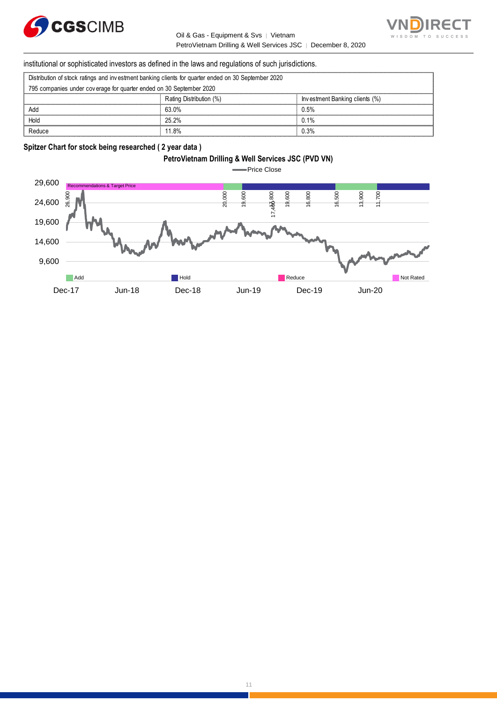

Oil & Gas - Equipment & Svs │ Vietnam PetroVietnam Drilling & Well Services JSC | December 8, 2020



institutional or sophisticated investors as defined in the laws and regulations of such jurisdictions. PetroVietnam Drilling & Well Service<br>
Stitutional or sophisticated investors as defined in the laws and regulations of such ju<br>
Distribution of stock ratings and investment banking clients for quarter ended on 30 September

| institutional or sophisticated investors as defined in the laws and regulations of such jurisdictions. |                         |                                |  |  |
|--------------------------------------------------------------------------------------------------------|-------------------------|--------------------------------|--|--|
| Distribution of stock ratings and investment banking clients for quarter ended on 30 September 2020    |                         |                                |  |  |
| 795 companies under coverage for quarter ended on 30 September 2020                                    |                         |                                |  |  |
|                                                                                                        | Rating Distribution (%) | Investment Banking clients (%) |  |  |
| Add                                                                                                    | 63.0%                   | 0.5%                           |  |  |
| Hold                                                                                                   | 25.2%                   | 0.1%                           |  |  |
| Reduce                                                                                                 | 11 8%                   | 0.3%                           |  |  |

#### **Spitzer Chart for stock being researched ( 2 year data )**

# **PetroVietnam Drilling & Well Services JSC (PVD VN)**

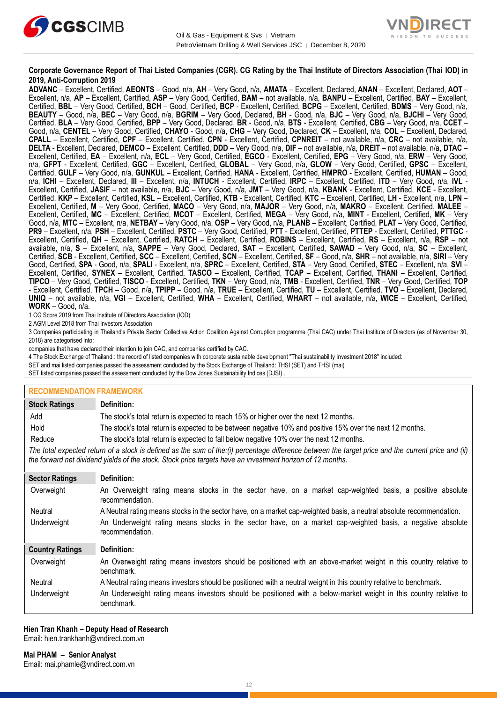



#### **Corporate Governance Report of Thai Listed Companies (CGR). CG Rating by the Thai Institute of Directors Association (Thai IOD) in 2019, Anti-Corruption 2019**

**ADVANC** – Excellent, Certified, **AEONTS** – Good, n/a, **AH** – Very Good, n/a, **AMATA** – Excellent, Declared, **ANAN** – Excellent, Declared, **AOT** – Excellent, n/a, **AP** – Excellent, Certified, **ASP** – Very Good, Certified, **BAM** – not available, n/a, **BANPU** – Excellent, Certified, **BAY** – Excellent, Certified, **BBL** – Very Good, Certified, **BCH** – Good, Certified, **BCP** - Excellent, Certified, **BCPG** – Excellent, Certified, **BDMS** – Very Good, n/a, **BEAUTY** – Good, n/a, **BEC** – Very Good, n/a, **BGRIM** – Very Good, Declared, **BH** - Good, n/a, **BJC** – Very Good, n/a, **BJCHI** – Very Good, Certified, **BLA** – Very Good, Certified, **BPP** – Very Good, Declared, **BR** - Good, n/a, **BTS** - Excellent, Certified, **CBG** – Very Good, n/a, **CCET** – Good, n/a, **CENTEL** – Very Good, Certified, **CHAYO** - Good, n/a, **CHG** – Very Good, Declared, **CK** – Excellent, n/a, **COL** – Excellent, Declared, **CPALL** – Excellent, Certified, **CPF** – Excellent, Certified, **CPN** - Excellent, Certified, **CPNREIT** – not available, n/a, **CRC** – not available, n/a, **DELTA** - Excellent, Declared, **DEMCO** – Excellent, Certified, **DDD** – Very Good, n/a, **DIF** – not available, n/a, **DREIT** – not available, n/a, **DTAC** – Excellent, Certified, **EA** – Excellent, n/a, **ECL** – Very Good, Certified, **EGCO** - Excellent, Certified, **EPG** – Very Good, n/a, **ERW** – Very Good, n/a, **GFPT** - Excellent, Certified, **GGC** – Excellent, Certified, **GLOBAL** – Very Good, n/a, **GLOW** – Very Good, Certified, **GPSC** – Excellent, Certified, **GULF** – Very Good, n/a, **GUNKUL** – Excellent, Certified, **HANA** - Excellent, Certified, **HMPRO** - Excellent, Certified, **HUMAN** – Good, n/a, **ICHI** – Excellent, Declared, **III** – Excellent, n/a, **INTUCH** - Excellent, Certified, **IRPC** – Excellent, Certified, **ITD** – Very Good, n/a, **IVL** - Excellent, Certified, **JASIF** – not available, n/a, **BJC** – Very Good, n/a, **JMT** – Very Good, n/a, **KBANK** - Excellent, Certified, **KCE** - Excellent, Certified, **KKP** – Excellent, Certified, **KSL** – Excellent, Certified, **KTB** - Excellent, Certified, **KTC** – Excellent, Certified, **LH** - Excellent, n/a, **LPN** – Excellent, Certified, **M** – Very Good, Certified, **MACO** – Very Good, n/a, **MAJOR** – Very Good, n/a, **MAKRO** – Excellent, Certified, **MALEE** – Excellent, Certified, **MC** – Excellent, Certified, **MCOT** – Excellent, Certified, **MEGA** – Very Good, n/a, **MINT** - Excellent, Certified, **MK** – Very Good, n/a, **MTC** – Excellent, n/a, **NETBAY** – Very Good, n/a, **OSP** – Very Good, n/a, **PLANB** – Excellent, Certified, **PLAT** – Very Good, Certified, **PR9** – Excellent, n/a, **PSH** – Excellent, Certified, **PSTC** – Very Good, Certified, **PTT** - Excellent, Certified, **PTTEP** - Excellent, Certified, **PTTGC** - Excellent, Certified, **QH** – Excellent, Certified, **RATCH** – Excellent, Certified, **ROBINS** – Excellent, Certified, **RS** – Excellent, n/a, **RSP** – not available, n/a, **S** – Excellent, n/a, **SAPPE** – Very Good, Declared, **SAT** – Excellent, Certified, **SAWAD** – Very Good, n/a, **SC** – Excellent, Certified, **SCB** - Excellent, Certified, **SCC** – Excellent, Certified, **SCN** – Excellent, Certified, **SF** – Good, n/a, **SHR** – not available, n/a, **SIRI** – Very Good, Certified, **SPA** - Good, n/a, **SPALI** - Excellent, n/a, **SPRC** – Excellent, Certified, **STA** – Very Good, Certified, **STEC** – Excellent, n/a, **SVI** – Excellent, Certified, **SYNEX** – Excellent, Certified, **TASCO** – Excellent, Certified, **TCAP** – Excellent, Certified, **THANI** – Excellent, Certified, **TIPCO** – Very Good, Certified, **TISCO** - Excellent, Certified, **TKN** – Very Good, n/a, **TMB** - Excellent, Certified, **TNR** – Very Good, Certified, **TOP** - Excellent, Certified, **TPCH** – Good, n/a, **TPIPP** – Good, n/a, **TRUE** – Excellent, Certified, **TU** – Excellent, Certified, **TVO** – Excellent, Declared, **UNIQ** – not available, n/a, **VGI** – Excellent, Certified, **WHA** – Excellent, Certified, **WHART** – not available, n/a, **WICE** – Excellent, Certified, **WORK** – Good, n/a.

1 CG Score 2019 from Thai Institute of Directors Association (IOD)

2 AGM Level 2018 from Thai Investors Association

3 Companies participating in Thailand's Private Sector Collective Action Coalition Against Corruption programme (Thai CAC) under Thai Institute of Directors (as of November 30, 2018) are categorised into:

companies that have declared their intention to join CAC, and companies certified by CAC.

4 [The Stock Exchange of Thailand : the record of listed companies with corporate sustainable development "Thai sustainability Investment 2018" included:](http://www.set.or.th/sustainable_dev/en/sr/sri/tsi_p1.html)

SET and mai listed companies passed the assessment conducted by the Stock Exchange of Thailand: THSI (SET) and THSI (mai)

SET listed companies passed the assessment conducted by the Dow Jones Sustainability Indices (DJSI)

#### **RECOMMENDATION FRAMEWORK**

| <b>Stock Ratings</b>   | Definition:                                                                                                                                                                                                                                                       |  |  |
|------------------------|-------------------------------------------------------------------------------------------------------------------------------------------------------------------------------------------------------------------------------------------------------------------|--|--|
| Add                    | The stock's total return is expected to reach 15% or higher over the next 12 months.                                                                                                                                                                              |  |  |
| Hold                   | The stock's total return is expected to be between negative 10% and positive 15% over the next 12 months.                                                                                                                                                         |  |  |
| Reduce                 | The stock's total return is expected to fall below negative 10% over the next 12 months.                                                                                                                                                                          |  |  |
|                        | The total expected return of a stock is defined as the sum of the:(i) percentage difference between the target price and the current price and (ii)<br>the forward net dividend yields of the stock. Stock price targets have an investment horizon of 12 months. |  |  |
| <b>Sector Ratings</b>  | Definition:                                                                                                                                                                                                                                                       |  |  |
| Overweight             | An Overweight rating means stocks in the sector have, on a market cap-weighted basis, a positive absolute<br>recommendation.                                                                                                                                      |  |  |
| Neutral                | A Neutral rating means stocks in the sector have, on a market cap-weighted basis, a neutral absolute recommendation.                                                                                                                                              |  |  |
| Underweight            | An Underweight rating means stocks in the sector have, on a market cap-weighted basis, a negative absolute<br>recommendation.                                                                                                                                     |  |  |
| <b>Country Ratings</b> | Definition:                                                                                                                                                                                                                                                       |  |  |
| Overweight             | An Overweight rating means investors should be positioned with an above-market weight in this country relative to<br>benchmark.                                                                                                                                   |  |  |
| Neutral                | A Neutral rating means investors should be positioned with a neutral weight in this country relative to benchmark.                                                                                                                                                |  |  |
| Underweight            | An Underweight rating means investors should be positioned with a below-market weight in this country relative to<br>benchmark.                                                                                                                                   |  |  |

#### **Hien Tran Khanh – Deputy Head of Research** Email: [hien.trankhanh@vndirect.com.vn](mailto:hien.trankhanh@vndirect.com.vn)

**Mai PHAM – Senior Analyst** Email: [mai.phamle@vndirect.com.vn](mailto:mai.phamle@vndirect.com.vn)